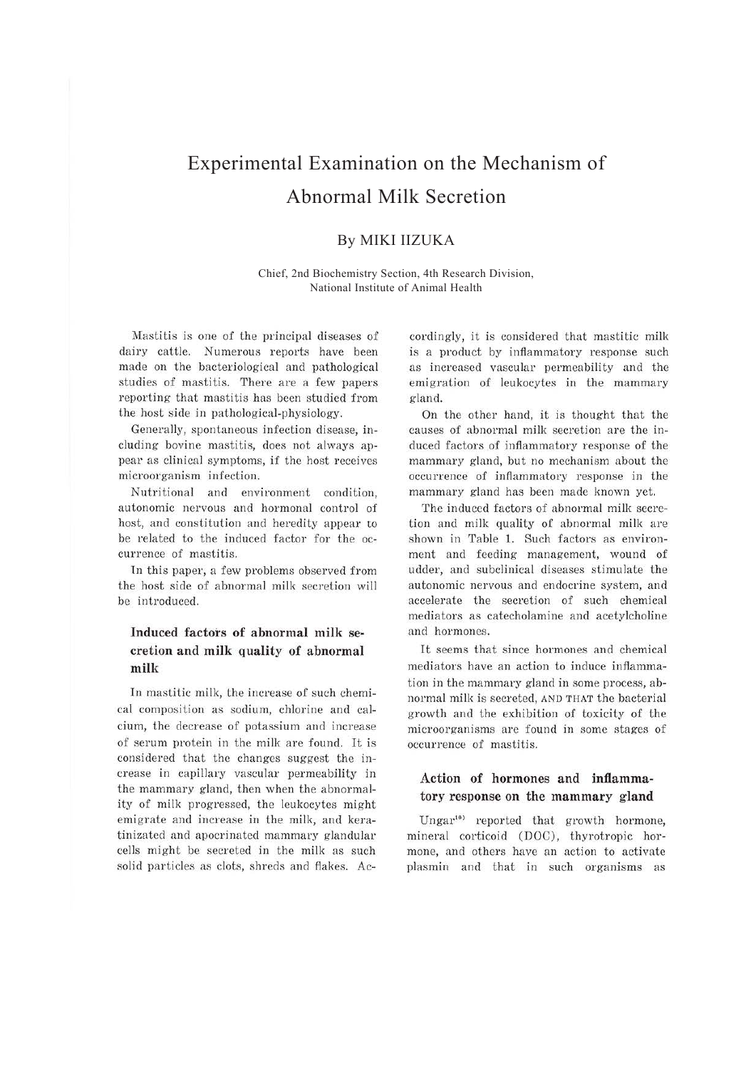# Experimental Examination on the Mechanism of Abnormal Milk Secretion

# By MIKI IIZUKA

Chief, 2nd Biochemistry Section, 4th Research Division, National Institute of Animal Health

Mastitis is one of the principal diseases of dairy cattle. Numerous reports have been made on the bacteriological and pathological studies of mastitis. There are a few papers reporting that mastitis has been studied from the host side in pathological-physiology.

Generally, spontaneous infection disease, including bovine mastitis, does not always appear as clinical symptoms, if the host receives microorganism infection.

Nutritional and environment condition, autonomic nervous and hormonal control of host, and constitution and heredity appear to be related to the induced factor for the occurrence of mastitis.

ln this paper, a few problems observed from the host side of abnormal milk secretion will be introduced.

# **Induced factors of abnormal milk se· cretion and milk quality of abnormal milk**

In mastitic milk, the increase of such chemical composition as sodium, chlorine and calcium, the decrease of potassium and increase of serum protein in the milk are found. It is considered that the changes suggest the increase in capillary vascular permeability in the mammary gland, then when the abnormality of milk progressed, the leukocytes might emigrate and increase in the milk, and keratinizated and apocrinated mammary glandular cells might be secreted in the milk as such solid particles as clots, shreds and flakes. Accordingly, it is considered that mastitic milk is a product by inflammatory response such as increased vascular permeability and the emigration of leukocytes in the mammary gland.

On the other hand, it is thought that the causes of abnormal milk secretion are the induced factors of inflammatory response of the mammary gland, but no mechanism about the occurrence of inflammatory response in the mammary gland has been made known yet.

The induced factors of abnormal milk secretion and milk quality of abnormal milk are shown in Table 1. Such factors as environment and feeding management, wound of udder, and subclinical diseases stimulate the autonomic nervous and endocrine system, and accelerate the secretion of such chemical mediators as catecholamine and acetylcholine and hormones.

It seems that since hormones and chemical mediators have an action to induce inflammation in the mammary gland in some process, abnormal milk is secreted, AND THAT the bacterial growth and the exhibition of toxicity of the microorganisms are found in some stages of occurrence of mastitis.

### **Action of hormones and inflamma**tory response on the mammary gland

Ungar<sup>10)</sup> reported that growth hormone, mineral corticoid (DOC), thyrotropic hormone, and others have an action to activate plasmin and that in such organisms as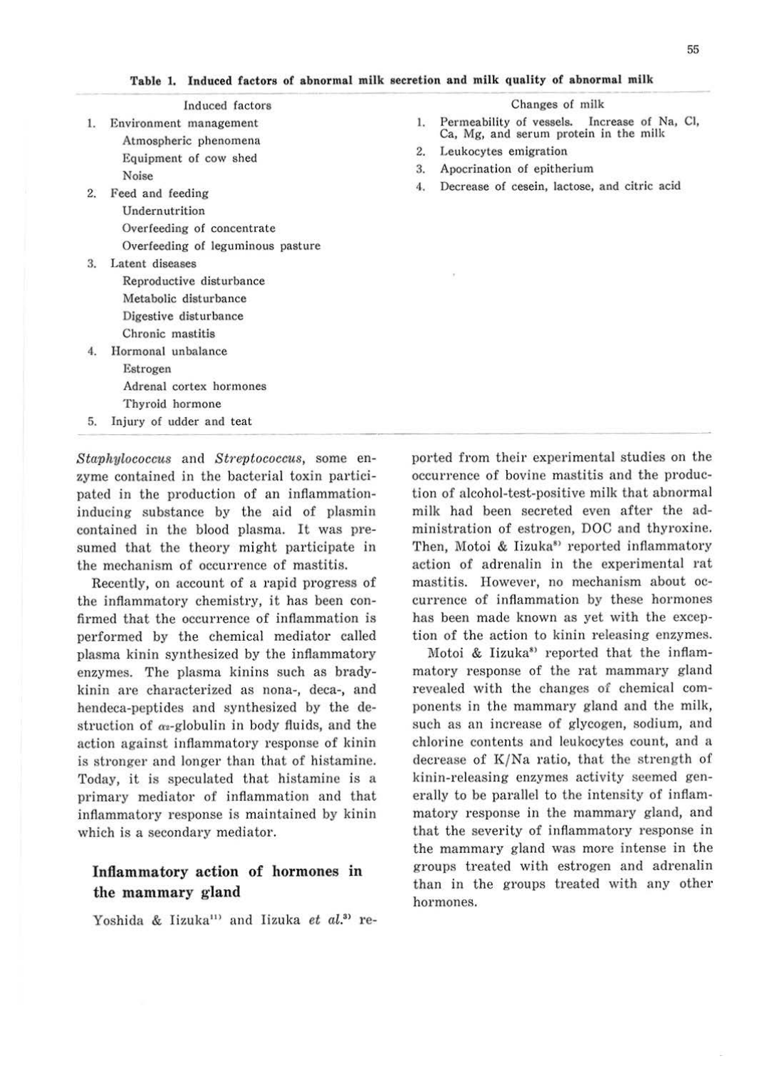|          | Induced factors                                                                                                                                        |                | Changes of milk                                                                                     |
|----------|--------------------------------------------------------------------------------------------------------------------------------------------------------|----------------|-----------------------------------------------------------------------------------------------------|
| 1.<br>2. | Environment management<br>Atmospheric phenomena<br>Equipment of cow shed<br>Noise<br>Feed and feeding<br>Undernutrition<br>Overfeeding of concentrate  | 1.             | Permeability of vessels. Increase of Na, Cl,<br>Ca, Mg, and serum protein in the milk               |
|          |                                                                                                                                                        | 2.<br>3.<br>4. | Leukocytes emigration<br>Apocrination of epitherium<br>Decrease of cesein, lactose, and citric acid |
| 3        | Overfeeding of leguminous pasture<br>Latent diseases<br>Reproductive disturbance<br>Metabolic disturbance<br>Digestive disturbance<br>Chronic mastitis |                |                                                                                                     |
| 4.       | Hormonal unbalance<br>Estrogen<br>Adrenal cortex hormones<br>Thyroid hormone                                                                           |                |                                                                                                     |
| 5.       | Injury of udder and teat                                                                                                                               |                |                                                                                                     |

**Table 1. Induced factors of abnormal milk secretion and milk quality of abnormal milk** 

*Staphylococcus* and *Streptococcus,* some enzyme contained in the bacterial toxin participated in the production of an inflammationinducing substance by the aid of plasmin contained in the blood plasma. It was presumed that the theory might participate in the mechanism of occurrence of mastitis.

Recently, on account of a rapid progress of the inflammatory chemistry, it has been confirmed that the occurrence of inflammation is performed by the chemical mediator called plasma kinin synthesized by the inflammatory enzymes. The plasma kinins such as bradykinin are characterized as nona-, deca-, and hendeca-peptides and synthesized by the destruction of  $\alpha_2$ -globulin in body fluids, and the action against inflammatory response of kinin is stronger and longer than that of histamine. Today, it is speculated that histamine is a primary mediator of inflammation and that inflammatory response is maintained by kinin which is a secondary mediator.

# **Inflammatory action of hormones in the mammary gland**

Yoshida & Iizuka<sup>11</sup> and Iizuka et al.<sup>31</sup> re-

ported from their experimental studies on the occurrence of bovine mastitis and the production of alcohol-test-positive milk that abnormal milk had been secreted even after the administration of estrogen, DOC and thyroxine. Then, Motoi & Iizuka<sup>81</sup> reported inflammatory action of adrenalin in the experimental rat mastitis. However, no mechanism about occurrence of inflammation by these hormones has been made known as yet with the exception of the action to kinin releasing enzymes.

Motoi & Iizuka<sup>8</sup> reported that the inflammatory response of the rat mammary gland revealed with the changes of chemical components in the mammary gland and the milk, such as an increase of glycogen, sodium, and chlorine contents and leukocytes count, and a decrease of K/Na ratio, that the strength of kinin-releasing enzymes activity seemed generally to be parallel to the intensity of inflammatory response in the mammary gland, and that the severity of inflammatory response in the mammary gland was more intense in the groups treated with estrogen and adrenalin than in the groups treated with any other hormones.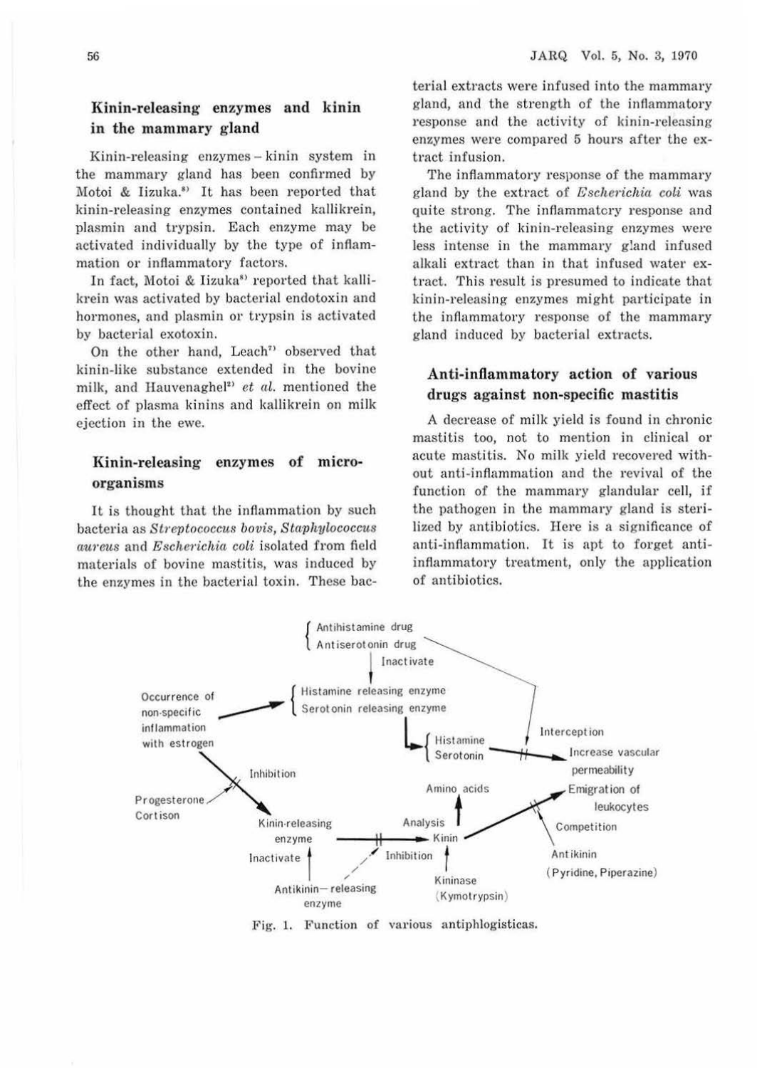#### **Kinin-releasing enzymes and kinin**  in the mammary gland

Kinin-releasing enzymes - kinin system in the mammary gland has been confirmed by Motoi & Iizuka.<sup>8)</sup> It has been reported that kinin-releasing enzymes contained kallikrein, plasmin and trypsin. Each enzyme may be activated individually by the type of inflammation or inflammatory factors.

In fact, Motoi & Iizuka<sup>81</sup> reported that kallikrein was activated by bacterial endotoxin and hormones, and plasmin or trypsin is activated by bacterial exotoxin.

On the other hand, Leach<sup> $7$ </sup> observed that kinin-like substance extended in the bovine milk, and Hauvenaghel<sup>21</sup> *et al.* mentioned the effect of plasma kinins and kallikrein on milk ejection in the ewe.

### Kinin-releasing enzymes of micro**organisms**

It is thought that the inflammation by such bacteria as *Streptococcus bovis, Stciphylococcus aureus* and *Escherichia coli* isolated from field materials of bovine mastitis, was induced by the enzymes in the bacterial toxin. These bac-

terial extracts were infused into the mammary gland, and the strength of the inflammatory response and the activity of kinin-releasing enzymes were compared 5 hours after the extract infusion.

The inflammatory response of the mammary gland by the extract of *Escherichia coli* was quite strong. The inflammatory response and the activity of kinin-releasing enzymes were less intense in the mammary gland infused alkali extract than in that infused water extract. This result is presumed to indicate that kinin-releasing enzymes might participate in the inflammatory response of the mammary gland induced by bacterial extracts.

#### **Anti-inflammatory action of various drugs against non-specific mastitis**

A decrease of milk yield is found in chronic mastitis too, not to mention in clinical or acute mastitis. No milk yield recovered without anti-inflammation and the revival of the function of the mammary glandular cell, if the pathogen in the mammary gland is sterilized by antibiotics. Here is a significance of anti-inflammation. It is apt to forget antiinflammatory treatment, only the application of antibiotics.



Fig. 1. Function of various antiphlogisticas.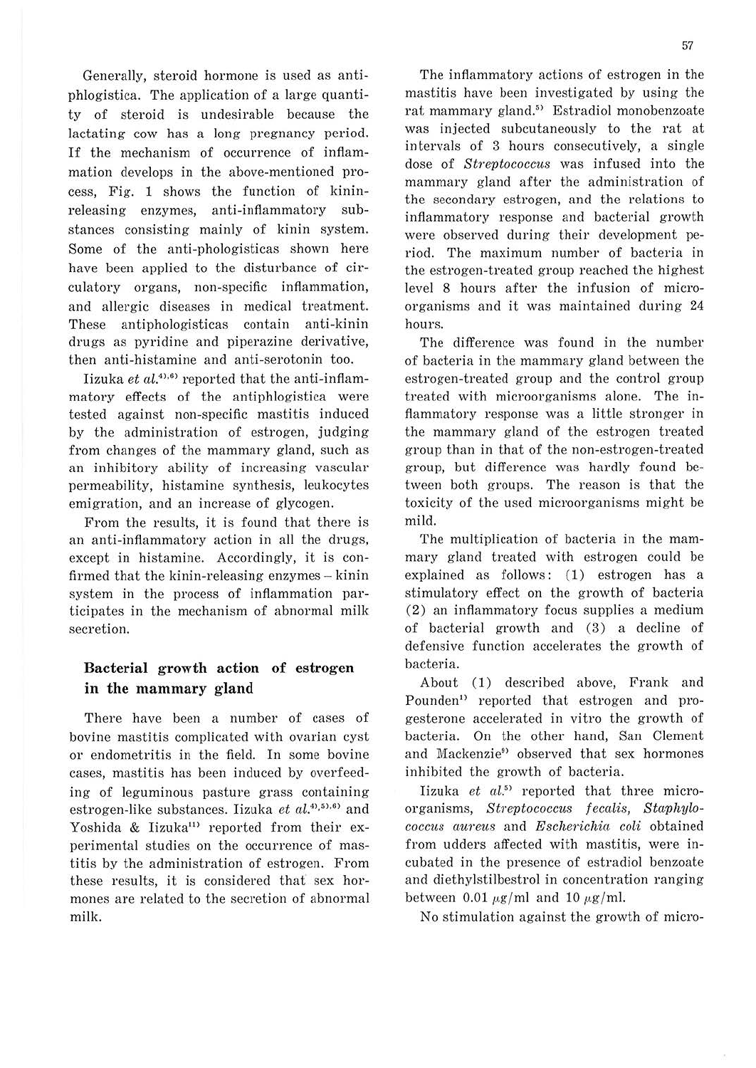Generally, steroid hormone is used as antiphlogistica. The application of a large quantity of steroid is undesirable because the lactating cow has a long pregnancy period. If the mechanism of occurrence of inflammation develops in the above-mentioned process, Fig. 1 shows the function of kininreleasing enzymes, anti-inflammatory substances consisting mainly of kinin system. Some of the anti-phologisticas shown here have been applied to the disturbance of circulatory organs, non-specific inflammation, and allergic diseases in medical treatment. These antiphologisticas contain anti-kinin drugs as pyridine and piperazine derivative, then anti-histamine and anti-serotonin too.

Iizuka et al.<sup>41,61</sup> reported that the anti-inflammatory effects of the antiphlogistica were tested against non-specific mastitis induced by the administration of estrogen, judging from changes of the mammary gland, such as an inhibitory ability of increasing vascular permeability, histamine synthesis, leukocytes emigration, and an increase of glycogen.

From the results, it is found that there is an anti-inflammatory action in all the drugs, except in histamine. Accordingly, it is confirmed that the kinin-releasing enzymes - kinin system in the process of inflammation participates in the mechanism of abnormal milk secretion.

### **Bacterial growth action of estrogen in the mammary gland**

There have been a number of cases of bovine mastitis complicated with ovarian cyst or endometritis in the field. In some bovine cases, mastitis has been induced by overfeeding of leguminous pasture grass containing estrogen-like substances. Iizuka *et al.*<sup>4),5),6)</sup> and Yoshida & Iizuka<sup>11)</sup> reported from their experimental studies on the occurrence of mastitis by the administration of estrogen. From these results, it is considered that' sex hormones are related to the secretion of abnormal milk.

The inflammatory actions of estrogen in the mastitis have been investigated by using the rat mammary gland.5) Estradiol monobenzoate was injected subcutaneously to the rat at intervals of 3 hours consecutively, a single dose of *Streptococcus* was infused into the mammary gland after the administration of the secondary estrogen, and the relations to inflammatory response and bacterial growth were observed during their development period. The maximum number of bacteria in the estrogen-treated group reached the highest level 8 hours after the infusion of microorganisms and it was maintained during 24 hours.

The difference was found in the number of bacteria in the mammary gland between the estrogen-treated group and the control group treated with microorganisms alone. The inflammatory response was a little stronger in the mammary gland of the estrogen treated group than in that of the non-estrogen-treated group, but difference was hardly found between both groups. The reason is that the toxicity of the used microorganisms might be mild.

The multiplication of bacteria in the mammary gland treated with estrogen could be explained as follows: (1) estrogen has a stimulatory effect on the growth of bacteria (2) an inflammatory focus supplies a medium of bacterial growth and (3) a decline of defensive function accelerates the growth of bacteria.

About (1) described above, Frank and Pounden<sup>1)</sup> reported that estrogen and progesterone accelerated in vitro the growth of bacteria. On the other hand, San Clement and Mackenzie<sup>9</sup> observed that sex hormones inhibited the growth of bacteria.

Iizuka *et al. 5* > reported that three microorganisms, *Streptococcus fecalis*, *Staphylococcus aureus* and *Escherichfa coli* obtained from udders affected with mastitis, were incubated in the presence of estradiol benzoate and diethylstilbestrol in concentration ranging between 0.01  $\mu$ g/ml and 10  $\mu$ g/ml.

No stimulation against the growth of micro-